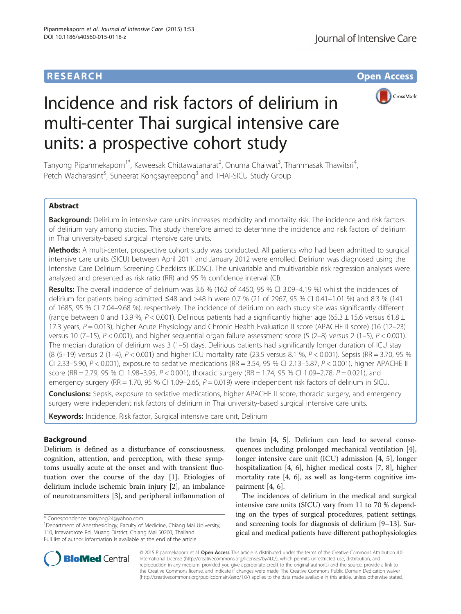# **RESEARCH RESEARCH** *CHECK CHECK CHECK CHECK CHECK CHECK CHECK CHECK CHECK CHECK CHECK CHECK CHECK CHECK CHECK CHECK CHECK CHECK CHECK CHECK CHECK CHECK CHECK CHECK CHECK CHECK CHECK CHECK CHECK CHECK CHECK CHECK CHECK*



# Incidence and risk factors of delirium in multi-center Thai surgical intensive care units: a prospective cohort study

Tanyong Pipanmekaporn<sup>1\*</sup>, Kaweesak Chittawatanarat<sup>2</sup>, Onuma Chaiwat<sup>3</sup>, Thammasak Thawitsri<sup>4</sup> , Petch Wacharasint<sup>5</sup>, Suneerat Kongsayreepong<sup>3</sup> and THAI-SICU Study Group

## Abstract

Background: Delirium in intensive care units increases morbidity and mortality risk. The incidence and risk factors of delirium vary among studies. This study therefore aimed to determine the incidence and risk factors of delirium in Thai university-based surgical intensive care units.

Methods: A multi-center, prospective cohort study was conducted. All patients who had been admitted to surgical intensive care units (SICU) between April 2011 and January 2012 were enrolled. Delirium was diagnosed using the Intensive Care Delirium Screening Checklists (ICDSC). The univariable and multivariable risk regression analyses were analyzed and presented as risk ratio (RR) and 95 % confidence interval (CI).

Results: The overall incidence of delirium was 3.6 % (162 of 4450, 95 % CI 3.09–4.19 %) whilst the incidences of delirium for patients being admitted ≤48 and >48 h were 0.7 % (21 of 2967, 95 % CI 0.41–1.01 %) and 8.3 % (141 of 1685, 95 % CI 7.04–9.68 %), respectively. The incidence of delirium on each study site was significantly different (range between 0 and 13.9 %,  $P < 0.001$ ). Delirious patients had a significantly higher age (65.3  $\pm$  15.6 versus 61.8  $\pm$ 17.3 years,  $P = 0.013$ ), higher Acute Physiology and Chronic Health Evaluation II score (APACHE II score) (16 (12–23) versus 10 (7–15),  $P < 0.001$ ), and higher sequential organ failure assessment score (5 (2–8) versus 2 (1–5),  $P < 0.001$ ). The median duration of delirium was 3 (1–5) days. Delirious patients had significantly longer duration of ICU stay (8 (5–19) versus 2 (1–4), P < 0.001) and higher ICU mortality rate (23.5 versus 8.1 %, P < 0.001). Sepsis (RR = 3.70, 95 % CI 2.33–5.90, P < 0.001), exposure to sedative medications (RR = 3.54, 95 % CI 2.13–5.87, P < 0.001), higher APACHE II score (RR = 2.79, 95 % CI 1.98–3.95,  $P < 0.001$ ), thoracic surgery (RR = 1.74, 95 % CI 1.09–2.78,  $P = 0.021$ ), and emergency surgery (RR = 1.70, 95 % CI 1.09–2.65, P = 0.019) were independent risk factors of delirium in SICU.

**Conclusions:** Sepsis, exposure to sedative medications, higher APACHE II score, thoracic surgery, and emergency surgery were independent risk factors of delirium in Thai university-based surgical intensive care units.

Keywords: Incidence, Risk factor, Surgical intensive care unit, Delirium

## Background

Delirium is defined as a disturbance of consciousness, cognition, attention, and perception, with these symptoms usually acute at the onset and with transient fluctuation over the course of the day [\[1](#page-7-0)]. Etiologies of delirium include ischemic brain injury [\[2](#page-7-0)], an imbalance of neurotransmitters [[3\]](#page-7-0), and peripheral inflammation of

the brain [[4, 5](#page-7-0)]. Delirium can lead to several consequences including prolonged mechanical ventilation [\[4](#page-7-0)], longer intensive care unit (ICU) admission [[4, 5\]](#page-7-0), longer hospitalization [\[4](#page-7-0), [6\]](#page-7-0), higher medical costs [[7, 8\]](#page-7-0), higher mortality rate [[4, 6\]](#page-7-0), as well as long-term cognitive impairment [[4, 6\]](#page-7-0).

The incidences of delirium in the medical and surgical intensive care units (SICU) vary from 11 to 70 % depending on the types of surgical procedures, patient settings, and screening tools for diagnosis of delirium [[9](#page-7-0)–[13](#page-7-0)]. Surgical and medical patients have different pathophysiologies



© 2015 Pipanmekaporn et al. Open Access This article is distributed under the terms of the Creative Commons Attribution 4.0 International License [\(http://creativecommons.org/licenses/by/4.0/](http://creativecommons.org/licenses/by/4.0/)), which permits unrestricted use, distribution, and reproduction in any medium, provided you give appropriate credit to the original author(s) and the source, provide a link to the Creative Commons license, and indicate if changes were made. The Creative Commons Public Domain Dedication waiver [\(http://creativecommons.org/publicdomain/zero/1.0/](http://creativecommons.org/publicdomain/zero/1.0/)) applies to the data made available in this article, unless otherwise stated.

<sup>\*</sup> Correspondence: [tanyong24@yahoo.com](mailto:tanyong24@yahoo.com) <sup>1</sup>

<sup>&</sup>lt;sup>1</sup>Department of Anesthesiology, Faculty of Medicine, Chiang Mai University, 110, Intavarorote Rd, Muang District, Chiang Mai 50200, Thailand Full list of author information is available at the end of the article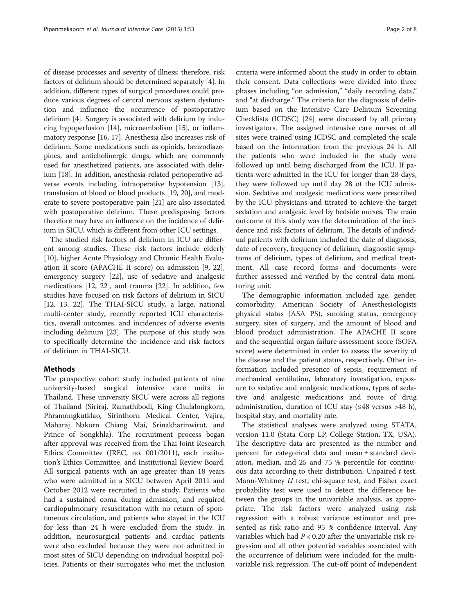of disease processes and severity of illness; therefore, risk factors of delirium should be determined separately [\[4](#page-7-0)]. In addition, different types of surgical procedures could produce various degrees of central nervous system dysfunction and influence the occurrence of postoperative delirium [\[4\]](#page-7-0). Surgery is associated with delirium by inducing hypoperfusion [[14](#page-7-0)], microembolism [\[15\]](#page-7-0), or inflammatory response [\[16, 17](#page-7-0)]. Anesthesia also increases risk of delirium. Some medications such as opioids, benzodiazepines, and anticholinergic drugs, which are commonly used for anesthetized patients, are associated with delirium [\[18\]](#page-7-0). In addition, anesthesia-related perioperative adverse events including intraoperative hypotension [[13](#page-7-0)], transfusion of blood or blood products [[19](#page-7-0), [20](#page-7-0)], and moderate to severe postoperative pain [[21](#page-7-0)] are also associated with postoperative delirium. These predisposing factors therefore may have an influence on the incidence of delirium in SICU, which is different from other ICU settings.

The studied risk factors of delirium in ICU are different among studies. These risk factors include elderly [[10\]](#page-7-0), higher Acute Physiology and Chronic Health Evaluation II score (APACHE II score) on admission [\[9](#page-7-0), [22](#page-7-0)], emergency surgery [\[22\]](#page-7-0), use of sedative and analgesic medications [\[12](#page-7-0), [22](#page-7-0)], and trauma [\[22](#page-7-0)]. In addition, few studies have focused on risk factors of delirium in SICU [[12, 13, 22](#page-7-0)]. The THAI-SICU study, a large, national multi-center study, recently reported ICU characteristics, overall outcomes, and incidences of adverse events including delirium [\[23\]](#page-7-0). The purpose of this study was to specifically determine the incidence and risk factors of delirium in THAI-SICU.

## **Methods**

The prospective cohort study included patients of nine university-based surgical intensive care units in Thailand. These university SICU were across all regions of Thailand (Siriraj, Ramathibodi, King Chulalongkorn, Phramongkutklao, Sirinthorn Medical Center, Vajira, Maharaj Nakorn Chiang Mai, Srinakharinwirot, and Prince of Songkhla). The recruitment process began after approval was received from the Thai Joint Research Ethics Committee (JREC, no. 001/2011), each institution's Ethics Committee, and Institutional Review Board. All surgical patients with an age greater than 18 years who were admitted in a SICU between April 2011 and October 2012 were recruited in the study. Patients who had a sustained coma during admission, and required cardiopulmonary resuscitation with no return of spontaneous circulation, and patients who stayed in the ICU for less than 24 h were excluded from the study. In addition, neurosurgical patients and cardiac patients were also excluded because they were not admitted in most sites of SICU depending on individual hospital policies. Patients or their surrogates who met the inclusion criteria were informed about the study in order to obtain their consent. Data collections were divided into three phases including "on admission," "daily recording data," and "at discharge." The criteria for the diagnosis of delirium based on the Intensive Care Delirium Screening Checklists (ICDSC) [[24\]](#page-7-0) were discussed by all primary investigators. The assigned intensive care nurses of all sites were trained using ICDSC and completed the scale based on the information from the previous 24 h. All the patients who were included in the study were followed up until being discharged from the ICU. If patients were admitted in the ICU for longer than 28 days, they were followed up until day 28 of the ICU admission. Sedative and analgesic medications were prescribed by the ICU physicians and titrated to achieve the target sedation and analgesic level by bedside nurses. The main outcome of this study was the determination of the incidence and risk factors of delirium. The details of individual patients with delirium included the date of diagnosis, date of recovery, frequency of delirium, diagnostic symptoms of delirium, types of delirium, and medical treatment. All case record forms and documents were further assessed and verified by the central data monitoring unit.

The demographic information included age, gender, comorbidity, American Society of Anesthesiologists physical status (ASA PS), smoking status, emergency surgery, sites of surgery, and the amount of blood and blood product administration. The APACHE II score and the sequential organ failure assessment score (SOFA score) were determined in order to assess the severity of the disease and the patient status, respectively. Other information included presence of sepsis, requirement of mechanical ventilation, laboratory investigation, exposure to sedative and analgesic medications, types of sedative and analgesic medications and route of drug administration, duration of ICU stay (≤48 versus >48 h), hospital stay, and mortality rate.

The statistical analyses were analyzed using STATA, version 11.0 (Stata Corp LP, College Station, TX, USA). The descriptive data are presented as the number and percent for categorical data and mean ± standard deviation, median, and 25 and 75 % percentile for continuous data according to their distribution. Unpaired  $t$  test, Mann-Whitney U test, chi-square test, and Fisher exact probability test were used to detect the difference between the groups in the univariable analysis, as appropriate. The risk factors were analyzed using risk regression with a robust variance estimator and presented as risk ratio and 95 % confidence interval. Any variables which had  $P < 0.20$  after the univariable risk regression and all other potential variables associated with the occurrence of delirium were included for the multivariable risk regression. The cut-off point of independent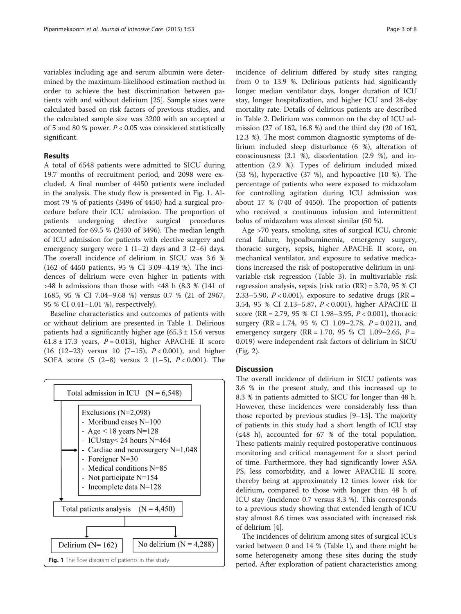variables including age and serum albumin were determined by the maximum-likelihood estimation method in order to achieve the best discrimination between patients with and without delirium [[25](#page-7-0)]. Sample sizes were calculated based on risk factors of previous studies, and the calculated sample size was 3200 with an accepted  $\alpha$ of 5 and 80 % power.  $P < 0.05$  was considered statistically significant.

## Results

A total of 6548 patients were admitted to SICU during 19.7 months of recruitment period, and 2098 were excluded. A final number of 4450 patients were included in the analysis. The study flow is presented in Fig. 1. Almost 79 % of patients (3496 of 4450) had a surgical procedure before their ICU admission. The proportion of patients undergoing elective surgical procedures accounted for 69.5 % (2430 of 3496). The median length of ICU admission for patients with elective surgery and emergency surgery were  $1(1-2)$  days and  $3(2-6)$  days. The overall incidence of delirium in SICU was 3.6 % (162 of 4450 patients, 95 % CI 3.09–4.19 %). The incidences of delirium were even higher in patients with >48 h admissions than those with ≤48 h (8.3 % (141 of 1685, 95 % CI 7.04–9.68 %) versus 0.7 % (21 of 2967, 95 % CI 0.41–1.01 %), respectively).

Baseline characteristics and outcomes of patients with or without delirium are presented in Table [1](#page-3-0). Delirious patients had a significantly higher age  $(65.3 \pm 15.6 \text{ versus}$  $61.8 \pm 17.3$  years,  $P = 0.013$ ), higher APACHE II score (16  $(12-23)$  versus 10  $(7-15)$ ,  $P < 0.001$ ), and higher SOFA score  $(5 (2-8)$  versus  $2 (1-5)$ ,  $P < 0.001$ ). The



incidence of delirium differed by study sites ranging from 0 to 13.9 %. Delirious patients had significantly longer median ventilator days, longer duration of ICU stay, longer hospitalization, and higher ICU and 28-day mortality rate. Details of delirious patients are described in Table [2.](#page-5-0) Delirium was common on the day of ICU admission (27 of 162, 16.8 %) and the third day (20 of 162, 12.3 %). The most common diagnostic symptoms of delirium included sleep disturbance (6 %), alteration of consciousness (3.1 %), disorientation (2.9 %), and inattention (2.9 %). Types of delirium included mixed (53 %), hyperactive (37 %), and hypoactive (10 %). The percentage of patients who were exposed to midazolam for controlling agitation during ICU admission was about 17 % (740 of 4450). The proportion of patients who received a continuous infusion and intermittent bolus of midazolam was almost similar (50 %).

Age >70 years, smoking, sites of surgical ICU, chronic renal failure, hypoalbuminemia, emergency surgery, thoracic surgery, sepsis, higher APACHE II score, on mechanical ventilator, and exposure to sedative medications increased the risk of postoperative delirium in univariable risk regression (Table [3\)](#page-5-0). In multivariable risk regression analysis, sepsis (risk ratio (RR) = 3.70, 95 % CI 2.33–5.90,  $P < 0.001$ ), exposure to sedative drugs (RR = 3.54, 95 % CI 2.13–5.87, P < 0.001), higher APACHE II score (RR = 2.79, 95 % CI 1.98–3.95, P < 0.001), thoracic surgery (RR = 1.74, 95 % CI 1.09–2.78,  $P = 0.021$ ), and emergency surgery (RR = 1.70, 95 % CI 1.09–2.65,  $P =$ 0.019) were independent risk factors of delirium in SICU (Fig. [2](#page-6-0)).

## Discussion

The overall incidence of delirium in SICU patients was 3.6 % in the present study, and this increased up to 8.3 % in patients admitted to SICU for longer than 48 h. However, these incidences were considerably less than those reported by previous studies [\[9](#page-7-0)–[13\]](#page-7-0). The majority of patients in this study had a short length of ICU stay (≤48 h), accounted for 67 % of the total population. These patients mainly required postoperative continuous monitoring and critical management for a short period of time. Furthermore, they had significantly lower ASA PS, less comorbidity, and a lower APACHE II score, thereby being at approximately 12 times lower risk for delirium, compared to those with longer than 48 h of ICU stay (incidence 0.7 versus 8.3 %). This corresponds to a previous study showing that extended length of ICU stay almost 8.6 times was associated with increased risk of delirium [\[4](#page-7-0)].

The incidences of delirium among sites of surgical ICUs varied between 0 and 14 % (Table [1\)](#page-3-0), and there might be some heterogeneity among these sites during the study Fig. 1 The flow diagram of patients in the study<br>
period. After exploration of patient characteristics among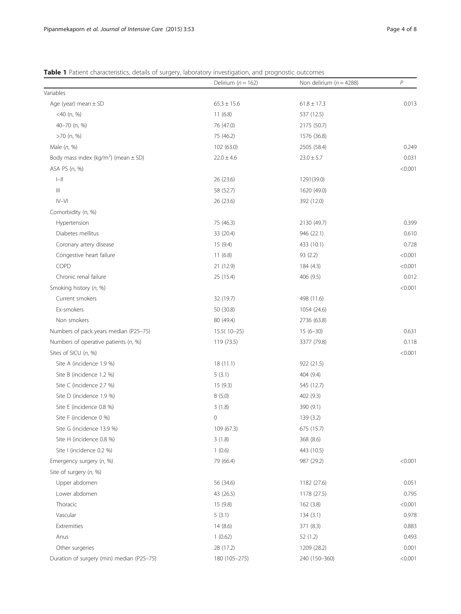## <span id="page-3-0"></span>Table 1 Patient characteristics, details of surgery, laboratory investigation, and prognostic outcomes

|                                                      | Delirium ( $n = 162$ ) | Non delirium ( $n = 4288$ ) | P       |
|------------------------------------------------------|------------------------|-----------------------------|---------|
| Variables                                            |                        |                             |         |
| Age (year) mean $\pm$ SD                             | $65.3 \pm 15.6$        | $61.8 \pm 17.3$             | 0.013   |
| $<$ 40 (n, %)                                        | 11(6.8)                | 537 (12.5)                  |         |
| 40-70 (n, %)                                         | 76 (47.0)              | 2175 (50.7)                 |         |
| $>70$ (n, %)                                         | 75 (46.2)              | 1576 (36.8)                 |         |
| Male $(n, %)$                                        | 102 (63.0)             | 2505 (58.4)                 | 0.249   |
| Body mass index (kg/m <sup>2</sup> ) (mean $\pm$ SD) | $22.0 \pm 4.6$         | $23.0 \pm 5.7$              | 0.031   |
| ASA PS (n, %)                                        |                        |                             | < 0.001 |
| $\left\vert -\right\vert$                            | 26 (23.6)              | 1291(39.0)                  |         |
| $\begin{array}{c} \hline \end{array}$                | 58 (52.7)              | 1620 (49.0)                 |         |
| $IV-VI$                                              | 26 (23.6)              | 392 (12.0)                  |         |
| Comorbidity (n, %)                                   |                        |                             |         |
| Hypertension                                         | 75 (46.3)              | 2130 (49.7)                 | 0.399   |
| Diabetes mellitus                                    | 33 (20.4)              | 946 (22.1)                  | 0.610   |
| Coronary artery disease                              | 15(9.4)                | 433 (10.1)                  | 0.728   |
| Congestive heart failure                             | 11(6.8)                | 93(2.2)                     | < 0.001 |
| COPD                                                 | 21 (12.9)              | 184 (4.3)                   | < 0.001 |
| Chronic renal failure                                | 25 (15.4)              | 406 (9.5)                   | 0.012   |
| Smoking history (n, %)                               |                        |                             | < 0.001 |
| Current smokers                                      | 32 (19.7)              | 498 (11.6)                  |         |
| Ex-smokers                                           | 50 (30.8)              | 1054 (24.6)                 |         |
| Non smokers                                          | 80 (49.4)              | 2736 (63.8)                 |         |
| Numbers of pack years median (P25-75)                | $15.5(10-25)$          | $15(6-30)$                  | 0.631   |
| Numbers of operative patients $(n, %)$               | 119 (73.5)             | 3377 (79.8)                 | 0.118   |
| Sites of SICU (n, %)                                 |                        |                             | < 0.001 |
| Site A (incidence 1.9 %)                             | 18(11.1)               | 922 (21.5)                  |         |
| Site B (incidence 1.2 %)                             | 5(3.1)                 | 404 (9.4)                   |         |
| Site C (incidence 2.7 %)                             | 15(9.3)                | 545 (12.7)                  |         |
| Site D (incidence 1.9 %)                             | 8(5.0)                 | 402 (9.3)                   |         |
| Site E (incidence 0.8 %)                             | 3(1.8)                 | 390 (9.1)                   |         |
| Site F (incidence 0 %)                               | $\circ$                | 139(3.2)                    |         |
| Site G (incidence 13.9 %)                            | 109 (67.3)             | 675 (15.7)                  |         |
| Site H (incidence 0.8 %)                             | 3(1.8)                 | 368 (8.6)                   |         |
| Site I (incidence 0.2 %)                             | 1(0.6)                 | 443 (10.5)                  |         |
| Emergency surgery (n, %)                             | 79 (66.4)              | 987 (29.2)                  | < 0.001 |
| Site of surgery (n, %)                               |                        |                             |         |
| Upper abdomen                                        | 56 (34.6)              | 1182 (27.6)                 | 0.051   |
| Lower abdomen                                        | 43 (26.5)              | 1178 (27.5)                 | 0.795   |
| Thoracic                                             | 15 (9.8)               | 162 (3.8)                   | < 0.001 |
| Vascular                                             | 5(3.1)                 | 134(3.1)                    | 0.978   |
| Extremities                                          | 14(8.6)                | 371 (8.3)                   | 0.883   |
| Anus                                                 | 1(0.62)                | 52(1.2)                     | 0.493   |
| Other surgeries                                      | 28 (17.2)              | 1209 (28.2)                 | 0.001   |
| Duration of surgery (min) median (P25-75)            | 180 (105-275)          | 240 (150-360)               | < 0.001 |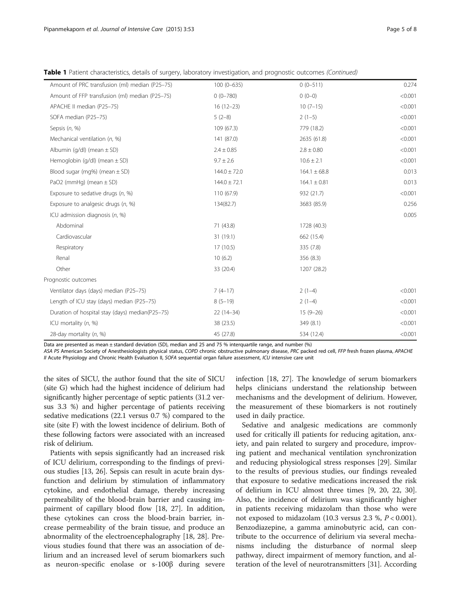| Table 1 Patient characteristics, details of surgery, laboratory investigation, and prognostic outcomes (Continued) |  |
|--------------------------------------------------------------------------------------------------------------------|--|
|--------------------------------------------------------------------------------------------------------------------|--|

| Amount of PRC transfusion (ml) median (P25-75)  | $100(0 - 635)$   | $0(0-511)$       | 0.274   |
|-------------------------------------------------|------------------|------------------|---------|
| Amount of FFP transfusion (ml) median (P25-75)  | $0(0-780)$       | $0(0-0)$         | < 0.001 |
| APACHE II median (P25-75)                       | $16(12-23)$      | $10(7-15)$       | < 0.001 |
| SOFA median (P25-75)                            | $5(2-8)$         | $2(1-5)$         | < 0.001 |
| Sepsis $(n, %)$                                 | 109 (67.3)       | 779 (18.2)       | < 0.001 |
| Mechanical ventilation $(n, %)$                 | 141 (87.0)       | 2635 (61.8)      | < 0.001 |
| Albumin ( $q/dl$ ) (mean $\pm$ SD)              | $2.4 \pm 0.85$   | $2.8 \pm 0.80$   | < 0.001 |
| Hemoglobin (g/dl) (mean $\pm$ SD)               | $9.7 \pm 2.6$    | $10.6 \pm 2.1$   | < 0.001 |
| Blood sugar (mg%) (mean $\pm$ SD)               | $144.0 \pm 72.0$ | $164.1 \pm 68.8$ | 0.013   |
| PaO2 (mmHg) (mean $\pm$ SD)                     | $144.0 \pm 72.1$ | $164.1 \pm 0.81$ | 0.013   |
| Exposure to sedative drugs (n, %)               | 110 (67.9)       | 932 (21.7)       | < 0.001 |
| Exposure to analgesic drugs (n, %)              | 134(82.7)        | 3683 (85.9)      | 0.256   |
| ICU admission diagnosis (n, %)                  |                  |                  | 0.005   |
| Abdominal                                       | 71 (43.8)        | 1728 (40.3)      |         |
| Cardiovascular                                  | 31 (19.1)        | 662 (15.4)       |         |
| Respiratory                                     | 17(10.5)         | 335 (7.8)        |         |
| Renal                                           | 10(6.2)          | 356 (8.3)        |         |
| Other                                           | 33 (20.4)        | 1207 (28.2)      |         |
| Prognostic outcomes                             |                  |                  |         |
| Ventilator days (days) median (P25-75)          | $7(4-17)$        | $2(1-4)$         | < 0.001 |
| Length of ICU stay (days) median (P25-75)       | $8(5-19)$        | $2(1-4)$         | < 0.001 |
| Duration of hospital stay (days) median(P25-75) | $22(14-34)$      | $15(9-26)$       | < 0.001 |
| ICU mortality (n, %)                            | 38 (23.5)        | 349 (8.1)        | < 0.001 |
| 28-day mortality (n, %)                         | 45 (27.8)        | 534 (12.4)       | < 0.001 |

Data are presented as mean + standard deviation (SD), median and 25 and 75 % interquartile range, and number (%)

ASA PS American Society of Anesthesiologists physical status, COPD chronic obstructive pulmonary disease, PRC packed red cell, FFP fresh frozen plasma, APACHE II Acute Physiology and Chronic Health Evaluation II, SOFA sequential organ failure assessment, ICU intensive care unit

the sites of SICU, the author found that the site of SICU (site G) which had the highest incidence of delirium had significantly higher percentage of septic patients (31.2 versus 3.3 %) and higher percentage of patients receiving sedative medications (22.1 versus 0.7 %) compared to the site (site F) with the lowest incidence of delirium. Both of these following factors were associated with an increased risk of delirium.

Patients with sepsis significantly had an increased risk of ICU delirium, corresponding to the findings of previous studies [[13](#page-7-0), [26\]](#page-7-0). Sepsis can result in acute brain dysfunction and delirium by stimulation of inflammatory cytokine, and endothelial damage, thereby increasing permeability of the blood-brain barrier and causing impairment of capillary blood flow [\[18, 27\]](#page-7-0). In addition, these cytokines can cross the blood-brain barrier, increase permeability of the brain tissue, and produce an abnormality of the electroencephalography [[18](#page-7-0), [28\]](#page-7-0). Previous studies found that there was an association of delirium and an increased level of serum biomarkers such as neuron-specific enolase or s-100β during severe

infection [[18, 27\]](#page-7-0). The knowledge of serum biomarkers helps clinicians understand the relationship between mechanisms and the development of delirium. However, the measurement of these biomarkers is not routinely used in daily practice.

Sedative and analgesic medications are commonly used for critically ill patients for reducing agitation, anxiety, and pain related to surgery and procedure, improving patient and mechanical ventilation synchronization and reducing physiological stress responses [[29\]](#page-7-0). Similar to the results of previous studies, our findings revealed that exposure to sedative medications increased the risk of delirium in ICU almost three times [\[9](#page-7-0), [20](#page-7-0), [22, 30](#page-7-0)]. Also, the incidence of delirium was significantly higher in patients receiving midazolam than those who were not exposed to midazolam (10.3 versus 2.3 %, P < 0.001). Benzodiazepine, a gamma aminobutyric acid, can contribute to the occurrence of delirium via several mechanisms including the disturbance of normal sleep pathway, direct impairment of memory function, and alteration of the level of neurotransmitters [\[31\]](#page-7-0). According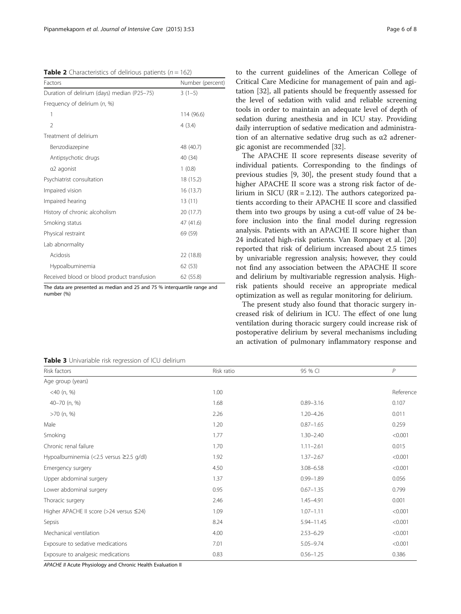<span id="page-5-0"></span>**Table 2** Characteristics of delirious patients ( $n = 162$ )

| Factors                                     | Number (percent) |
|---------------------------------------------|------------------|
| Duration of delirium (days) median (P25-75) | $3(1-5)$         |
| Frequency of delirium (n, %)                |                  |
| 1                                           | 114 (96.6)       |
| $\overline{2}$                              | 4(3.4)           |
| Treatment of delirium                       |                  |
| Benzodiazepine                              | 48 (40.7)        |
| Antipsychotic drugs                         | 40 (34)          |
| a2 agonist                                  | 1(0.8)           |
| Psychiatrist consultation                   | 18 (15.2)        |
| Impaired vision                             | 16 (13.7)        |
| Impaired hearing                            | 13(11)           |
| History of chronic alcoholism               | 20 (17.7)        |
| Smoking status                              | 47 (41.6)        |
| Physical restraint                          | 69 (59)          |
| Lab abnormality                             |                  |
| Acidosis                                    | 22 (18.8)        |
| Hypoalbuminemia                             | 62 (53)          |
| Received blood or blood product transfusion | 62 (55.8)        |

The data are presented as median and 25 and 75 % interquartile range and number (%)

to the current guidelines of the American College of Critical Care Medicine for management of pain and agitation [\[32\]](#page-7-0), all patients should be frequently assessed for the level of sedation with valid and reliable screening tools in order to maintain an adequate level of depth of sedation during anesthesia and in ICU stay. Providing daily interruption of sedative medication and administration of an alternative sedative drug such as  $α2$  adrenergic agonist are recommended [[32](#page-7-0)].

The APACHE II score represents disease severity of individual patients. Corresponding to the findings of previous studies [[9, 30\]](#page-7-0), the present study found that a higher APACHE II score was a strong risk factor of delirium in SICU ( $RR = 2.12$ ). The authors categorized patients according to their APACHE II score and classified them into two groups by using a cut-off value of 24 before inclusion into the final model during regression analysis. Patients with an APACHE II score higher than 24 indicated high-risk patients. Van Rompaey et al. [[20](#page-7-0)] reported that risk of delirium increased about 2.5 times by univariable regression analysis; however, they could not find any association between the APACHE II score and delirium by multivariable regression analysis. Highrisk patients should receive an appropriate medical optimization as well as regular monitoring for delirium.

The present study also found that thoracic surgery increased risk of delirium in ICU. The effect of one lung ventilation during thoracic surgery could increase risk of postoperative delirium by several mechanisms including an activation of pulmonary inflammatory response and

| Risk factors                            | Risk ratio | 95 % CI       | $\overline{P}$ |
|-----------------------------------------|------------|---------------|----------------|
| Age group (years)                       |            |               |                |
| $<$ 40 (n, %)                           | 1.00       |               | Reference      |
| 40-70 (n, %)                            | 1.68       | $0.89 - 3.16$ | 0.107          |
| $>70$ (n, %)                            | 2.26       | $1.20 - 4.26$ | 0.011          |
| Male                                    | 1.20       | $0.87 - 1.65$ | 0.259          |
| Smoking                                 | 1.77       | $1.30 - 2.40$ | < 0.001        |
| Chronic renal failure                   | 1.70       | $1.11 - 2.61$ | 0.015          |
| Hypoalbuminemia (<2.5 versus ≥2.5 g/dl) | 1.92       | $1.37 - 2.67$ | < 0.001        |
| Emergency surgery                       | 4.50       | $3.08 - 6.58$ | < 0.001        |
| Upper abdominal surgery                 | 1.37       | $0.99 - 1.89$ | 0.056          |
| Lower abdominal surgery                 | 0.95       | $0.67 - 1.35$ | 0.799          |
| Thoracic surgery                        | 2.46       | 1.45-4.91     | 0.001          |
| Higher APACHE II score (>24 versus ≤24) | 1.09       | $1.07 - 1.11$ | < 0.001        |
| Sepsis                                  | 8.24       | 5.94-11.45    | < 0.001        |
| Mechanical ventilation                  | 4.00       | $2.53 - 6.29$ | < 0.001        |
| Exposure to sedative medications        | 7.01       | $5.05 - 9.74$ | < 0.001        |
| Exposure to analgesic medications       | 0.83       | $0.56 - 1.25$ | 0.386          |

APACHE II Acute Physiology and Chronic Health Evaluation II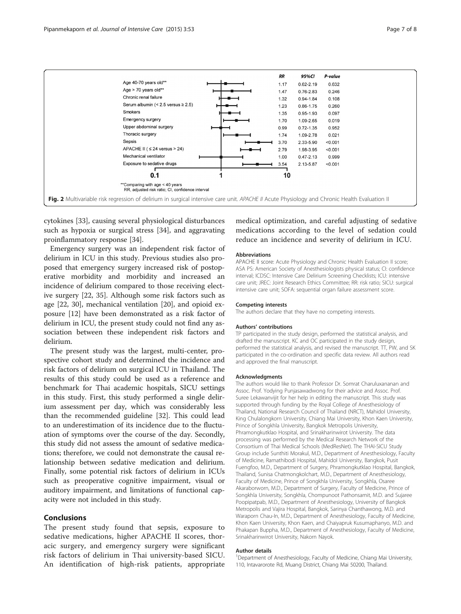<span id="page-6-0"></span>

cytokines [\[33\]](#page-7-0), causing several physiological disturbances such as hypoxia or surgical stress [[34\]](#page-7-0), and aggravating proinflammatory response [\[34](#page-7-0)].

Emergency surgery was an independent risk factor of delirium in ICU in this study. Previous studies also proposed that emergency surgery increased risk of postoperative morbidity and morbidity and increased an incidence of delirium compared to those receiving elective surgery [[22](#page-7-0), [35](#page-7-0)]. Although some risk factors such as age [[22, 30](#page-7-0)], mechanical ventilation [[20\]](#page-7-0), and opioid exposure [[12](#page-7-0)] have been demonstrated as a risk factor of delirium in ICU, the present study could not find any association between these independent risk factors and delirium.

The present study was the largest, multi-center, prospective cohort study and determined the incidence and risk factors of delirium on surgical ICU in Thailand. The results of this study could be used as a reference and benchmark for Thai academic hospitals, SICU settings in this study. First, this study performed a single delirium assessment per day, which was considerably less than the recommended guideline [[32\]](#page-7-0). This could lead to an underestimation of its incidence due to the fluctuation of symptoms over the course of the day. Secondly, this study did not assess the amount of sedative medications; therefore, we could not demonstrate the causal relationship between sedative medication and delirium. Finally, some potential risk factors of delirium in ICUs such as preoperative cognitive impairment, visual or auditory impairment, and limitations of functional capacity were not included in this study.

## Conclusions

The present study found that sepsis, exposure to sedative medications, higher APACHE II scores, thoracic surgery, and emergency surgery were significant risk factors of delirium in Thai university-based SICU. An identification of high-risk patients, appropriate

medical optimization, and careful adjusting of sedative medications according to the level of sedation could reduce an incidence and severity of delirium in ICU.

#### Abbreviations

APACHE II score: Acute Physiology and Chronic Health Evaluation II score; ASA PS: American Society of Anesthesiologists physical status; CI: confidence interval; ICDSC: Intensive Care Delirium Screening Checklists; ICU: intensive care unit; JREC: Joint Research Ethics Committee; RR: risk ratio; SICU: surgical intensive care unit; SOFA: sequential organ failure assessment score.

#### Competing interests

The authors declare that they have no competing interests.

#### Authors' contributions

TP participated in the study design, performed the statistical analysis, and drafted the manuscript. KC and OC participated in the study design, performed the statistical analysis, and revised the manuscript. TT, PW, and SK participated in the co-ordination and specific data review. All authors read and approved the final manuscript.

#### Acknowledgments

The authors would like to thank Professor Dr. Somrat Charuluxananan and Assoc. Prof. Yodying Punjasawadwong for their advice and Assoc. Prof. Suree Lekawanvijit for her help in editing the manuscript. This study was supported through funding by the Royal College of Anesthesiology of Thailand, National Research Council of Thailand (NRCT), Mahidol University, King Chulalongkorn University, Chiang Mai University, Khon Kaen University, Prince of Songkhla University, Bangkok Metropolis University, Phramongkutklao Hospital, and Srinakharinwirot University. The data processing was performed by the Medical Research Network of the Consortium of Thai Medical Schools (MedResNet). The THAI-SICU Study Group include Sunthiti Morakul, M.D., Department of Anesthesiology, Faculty of Medicine, Ramathibodi Hospital, Mahidol University, Bangkok, Pusit Fuengfoo, M.D., Department of Surgery, Phramongkutklao Hospital, Bangkok, Thailand, Sunisa Chatmongkolchart, M.D., Department of Anesthesiology, Faculty of Medicine, Prince of Songkhla University, Songkhla, Osaree Akaraborworn, M.D., Department of Surgery, Faculty of Medicine, Prince of Songkhla University, Songkhla, Chompunoot Pathonsamit, M.D. and Sujaree Poopipatpab, M.D., Department of Anesthesiology, University of Bangkok Metropolis and Vajira Hospital, Bangkok, Sarinya Chanthawong, M.D. and Waraporn Chau-In, M.D., Department of Anesthesiology, Faculty of Medicine, Khon Kaen University, Khon Kaen, and Chaiyapruk Kusumaphanyo, M.D. and Phakapan Buppha, M.D., Department of Anesthesiology, Faculty of Medicine, Srinakharinwirot University, Nakorn Nayok.

#### Author details

<sup>1</sup>Department of Anesthesiology, Faculty of Medicine, Chiang Mai University, 110, Intavarorote Rd, Muang District, Chiang Mai 50200, Thailand.